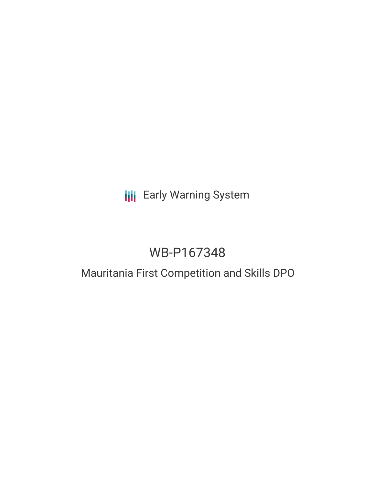# **III** Early Warning System

# WB-P167348

## Mauritania First Competition and Skills DPO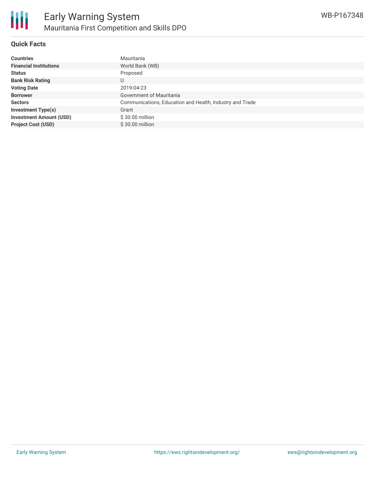

#### **Quick Facts**

| <b>Countries</b>               | Mauritania                                               |
|--------------------------------|----------------------------------------------------------|
| <b>Financial Institutions</b>  | World Bank (WB)                                          |
| <b>Status</b>                  | Proposed                                                 |
| <b>Bank Risk Rating</b>        | U                                                        |
| <b>Voting Date</b>             | 2019-04-23                                               |
| <b>Borrower</b>                | Government of Mauritania                                 |
| <b>Sectors</b>                 | Communications, Education and Health, Industry and Trade |
| <b>Investment Type(s)</b>      | Grant                                                    |
| <b>Investment Amount (USD)</b> | \$30.00 million                                          |
| <b>Project Cost (USD)</b>      | $$30.00$ million                                         |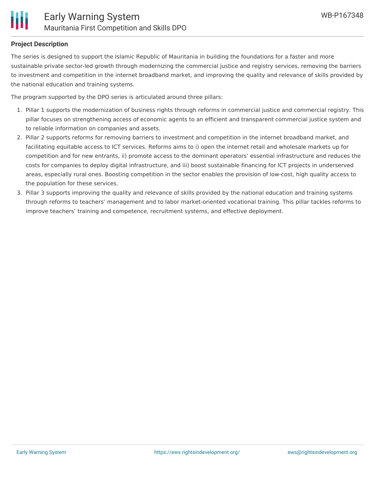#### **Project Description**

The series is designed to support the Islamic Republic of Mauritania in building the foundations for a faster and more sustainable private sector-led growth through modernizing the commercial justice and registry services, removing the barriers to investment and competition in the internet broadband market, and improving the quality and relevance of skills provided by the national education and training systems.

The program supported by the DPO series is articulated around three pillars:

- 1. Pillar 1 supports the modernization of business rights through reforms in commercial justice and commercial registry. This pillar focuses on strengthening access of economic agents to an efficient and transparent commercial justice system and to reliable information on companies and assets.
- 2. Pillar 2 supports reforms for removing barriers to investment and competition in the internet broadband market, and facilitating equitable access to ICT services. Reforms aims to i) open the internet retail and wholesale markets up for competition and for new entrants, ii) promote access to the dominant operators' essential infrastructure and reduces the costs for companies to deploy digital infrastructure, and iii) boost sustainable financing for ICT projects in underserved areas, especially rural ones. Boosting competition in the sector enables the provision of low-cost, high quality access to the population for these services.
- 3. Pillar 3 supports improving the quality and relevance of skills provided by the national education and training systems through reforms to teachers' management and to labor market-oriented vocational training. This pillar tackles reforms to improve teachers' training and competence, recruitment systems, and effective deployment.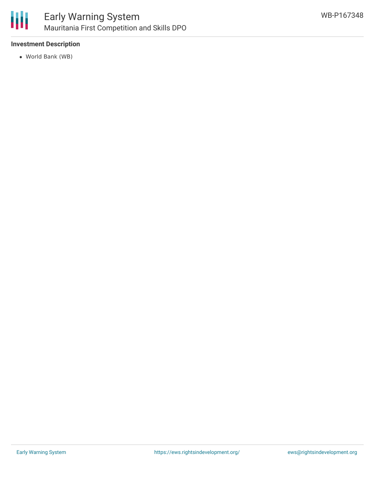

#### **Investment Description**

World Bank (WB)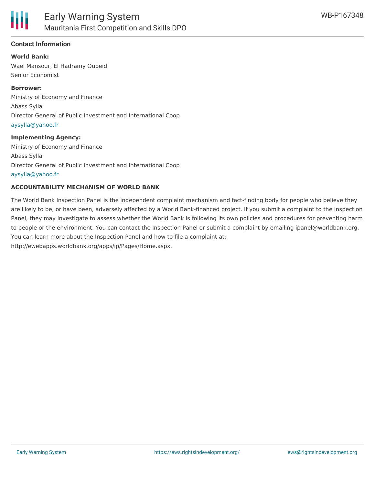

#### **Contact Information**

**World Bank:** Wael Mansour, El Hadramy Oubeid Senior Economist

**Borrower:** Ministry of Economy and Finance Abass Sylla Director General of Public Investment and International Coop [aysylla@yahoo.fr](mailto:aysylla@yahoo.fr)

#### **Implementing Agency:**

Ministry of Economy and Finance Abass Sylla Director General of Public Investment and International Coop [aysylla@yahoo.fr](mailto:aysylla@yahoo.fr)

#### **ACCOUNTABILITY MECHANISM OF WORLD BANK**

The World Bank Inspection Panel is the independent complaint mechanism and fact-finding body for people who believe they are likely to be, or have been, adversely affected by a World Bank-financed project. If you submit a complaint to the Inspection Panel, they may investigate to assess whether the World Bank is following its own policies and procedures for preventing harm to people or the environment. You can contact the Inspection Panel or submit a complaint by emailing ipanel@worldbank.org. You can learn more about the Inspection Panel and how to file a complaint at: http://ewebapps.worldbank.org/apps/ip/Pages/Home.aspx.